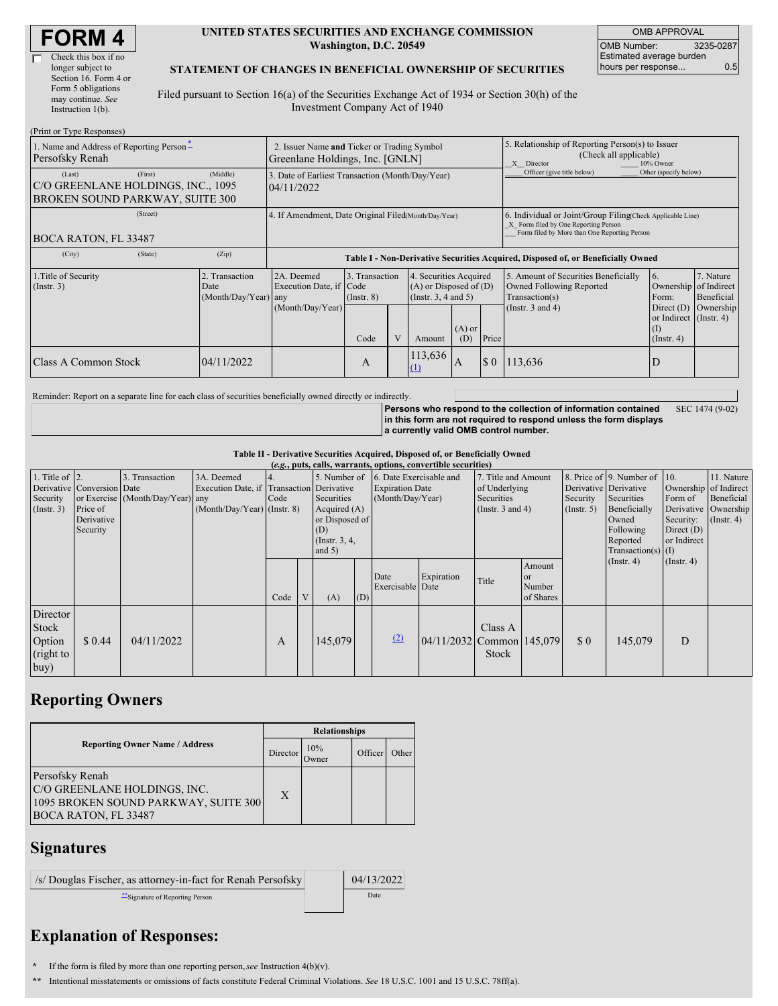| <b>FORM4</b> |
|--------------|
|--------------|

| Check this box if no  |
|-----------------------|
| longer subject to     |
| Section 16. Form 4 or |
| Form 5 obligations    |
| may continue. See     |
| Instruction 1(b).     |

#### **UNITED STATES SECURITIES AND EXCHANGE COMMISSION Washington, D.C. 20549**

OMB APPROVAL OMB Number: 3235-0287 Estimated average burden hours per response... 0.5

#### **STATEMENT OF CHANGES IN BENEFICIAL OWNERSHIP OF SECURITIES**

Filed pursuant to Section 16(a) of the Securities Exchange Act of 1934 or Section 30(h) of the Investment Company Act of 1940

| (Print or Type Responses)                                                                         |                                                |                                                                                  |                                   |  |                                                                                          |     |       |                                                                                                                                                    |                                                                                                  |                                      |  |
|---------------------------------------------------------------------------------------------------|------------------------------------------------|----------------------------------------------------------------------------------|-----------------------------------|--|------------------------------------------------------------------------------------------|-----|-------|----------------------------------------------------------------------------------------------------------------------------------------------------|--------------------------------------------------------------------------------------------------|--------------------------------------|--|
| 1. Name and Address of Reporting Person-<br>Persofsky Renah                                       |                                                | 2. Issuer Name and Ticker or Trading Symbol<br>Greenlane Holdings, Inc. [GNLN]   |                                   |  |                                                                                          |     |       | 5. Relationship of Reporting Person(s) to Issuer<br>(Check all applicable)<br>X Director<br>10% Owner                                              |                                                                                                  |                                      |  |
| (First)<br>(Last)<br>C/O GREENLANE HOLDINGS, INC., 1095<br><b>BROKEN SOUND PARKWAY, SUITE 300</b> | (Middle)                                       | 3. Date of Earliest Transaction (Month/Day/Year)<br>04/11/2022                   |                                   |  |                                                                                          |     |       | Officer (give title below)                                                                                                                         | Other (specify below)                                                                            |                                      |  |
| (Street)<br><b>BOCA RATON, FL 33487</b>                                                           |                                                | 4. If Amendment, Date Original Filed(Month/Day/Year)                             |                                   |  |                                                                                          |     |       | 6. Individual or Joint/Group Filing(Check Applicable Line)<br>X Form filed by One Reporting Person<br>Form filed by More than One Reporting Person |                                                                                                  |                                      |  |
| (City)<br>(State)                                                                                 | (Zip)                                          | Table I - Non-Derivative Securities Acquired, Disposed of, or Beneficially Owned |                                   |  |                                                                                          |     |       |                                                                                                                                                    |                                                                                                  |                                      |  |
| 1. Title of Security<br>(Insert. 3)                                                               | 2. Transaction<br>Date<br>(Month/Day/Year) any | 2A. Deemed<br>Execution Date, if Code<br>(Month/Day/Year)                        | 3. Transaction<br>$($ Instr. $8)$ |  | 4. Securities Acquired<br>$(A)$ or Disposed of $(D)$<br>(Insert. 3, 4 and 5)<br>$(A)$ or |     |       | 5. Amount of Securities Beneficially<br>Owned Following Reported<br>Transaction(s)<br>(Instr. $3$ and $4$ )                                        | <sup>6.</sup><br>Ownership of Indirect<br>Form:<br>Direct $(D)$<br>or Indirect (Instr. 4)<br>(1) | 7. Nature<br>Beneficial<br>Ownership |  |
|                                                                                                   |                                                |                                                                                  | Code                              |  | Amount                                                                                   | (D) | Price |                                                                                                                                                    | $($ Instr. 4 $)$                                                                                 |                                      |  |
| Class A Common Stock                                                                              | 04/11/2022                                     |                                                                                  | A                                 |  | 113,636<br>$\Omega$                                                                      | A   | \$0   | 113,636                                                                                                                                            | D                                                                                                |                                      |  |

Reminder: Report on a separate line for each class of securities beneficially owned directly or indirectly.

**Persons who respond to the collection of information contained in this form are not required to respond unless the form displays a currently valid OMB control number.** SEC 1474 (9-02)

**Table II - Derivative Securities Acquired, Disposed of, or Beneficially Owned**

| (e.g., puts, calls, warrants, options, convertible securities) |                                                                  |                                                    |                                                                                          |      |   |                                                                                                        |     |                                                                       |                                 |                                                                             |                                                |                                                       |                                                                                                                      |                                                                              |                                                                      |
|----------------------------------------------------------------|------------------------------------------------------------------|----------------------------------------------------|------------------------------------------------------------------------------------------|------|---|--------------------------------------------------------------------------------------------------------|-----|-----------------------------------------------------------------------|---------------------------------|-----------------------------------------------------------------------------|------------------------------------------------|-------------------------------------------------------|----------------------------------------------------------------------------------------------------------------------|------------------------------------------------------------------------------|----------------------------------------------------------------------|
| 1. Title of $\vert$ 2.<br>Security<br>$($ Instr. 3 $)$         | Derivative Conversion Date<br>Price of<br>Derivative<br>Security | 3. Transaction<br>or Exercise (Month/Day/Year) any | 3A. Deemed<br>Execution Date, if Transaction Derivative<br>$(Month/Day/Year)$ (Instr. 8) | Code |   | 5. Number of<br>Securities<br>Acquired $(A)$<br>or Disposed of<br>(D)<br>(Instr. $3, 4,$ )<br>and $5)$ |     | 6. Date Exercisable and<br><b>Expiration Date</b><br>(Month/Day/Year) |                                 | 7. Title and Amount<br>of Underlying<br>Securities<br>(Instr. $3$ and $4$ ) |                                                | Derivative Derivative<br>Security<br>$($ Instr. 5 $)$ | 8. Price of 9. Number of 10.<br>Securities<br>Beneficially<br>Owned<br>Following<br>Reported<br>$Transaction(s)$ (I) | Ownership of Indirect<br>Form of<br>Security:<br>Direct $(D)$<br>or Indirect | 11. Nature<br>Beneficial<br>Derivative Ownership<br>$($ Instr. 4 $)$ |
|                                                                |                                                                  |                                                    |                                                                                          | Code | V | (A)                                                                                                    | (D) | Date<br>Exercisable Date                                              | Expiration                      | Title                                                                       | Amount<br><sub>or</sub><br>Number<br>of Shares |                                                       | $($ Instr. 4 $)$                                                                                                     | $($ Instr. 4 $)$                                                             |                                                                      |
| Director<br>Stock<br>Option<br>(right to<br> buy)              | \$0.44                                                           | 04/11/2022                                         |                                                                                          | A    |   | 145,079                                                                                                |     | (2)                                                                   | $[04/11/2032]$ Common   145,079 | Class A<br>Stock                                                            |                                                | $\Omega$                                              | 145,079                                                                                                              | D                                                                            |                                                                      |

## **Reporting Owners**

|                                                                                                                        | <b>Relationships</b> |              |         |       |  |  |  |  |
|------------------------------------------------------------------------------------------------------------------------|----------------------|--------------|---------|-------|--|--|--|--|
| <b>Reporting Owner Name / Address</b>                                                                                  | Director             | 10%<br>Owner | Officer | Other |  |  |  |  |
| Persofsky Renah<br>C/O GREENLANE HOLDINGS, INC.<br>1095 BROKEN SOUND PARKWAY, SUITE 300<br><b>BOCA RATON, FL 33487</b> | X                    |              |         |       |  |  |  |  |

### **Signatures**

| /s/ Douglas Fischer, as attorney-in-fact for Renah Persofsky | 04/13/2022 |
|--------------------------------------------------------------|------------|
| Signature of Reporting Person                                | Date       |

# **Explanation of Responses:**

**\*** If the form is filed by more than one reporting person,*see* Instruction 4(b)(v).

**\*\*** Intentional misstatements or omissions of facts constitute Federal Criminal Violations. *See* 18 U.S.C. 1001 and 15 U.S.C. 78ff(a).